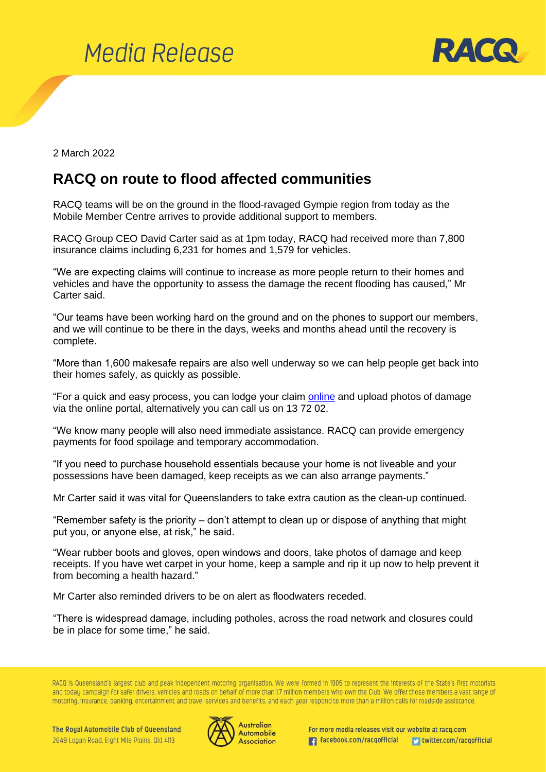



2 March 2022

## **RACQ on route to flood affected communities**

RACQ teams will be on the ground in the flood-ravaged Gympie region from today as the Mobile Member Centre arrives to provide additional support to members.

RACQ Group CEO David Carter said as at 1pm today, RACQ had received more than 7,800 insurance claims including 6,231 for homes and 1,579 for vehicles.

"We are expecting claims will continue to increase as more people return to their homes and vehicles and have the opportunity to assess the damage the recent flooding has caused," Mr Carter said.

"Our teams have been working hard on the ground and on the phones to support our members, and we will continue to be there in the days, weeks and months ahead until the recovery is complete.

"More than 1,600 makesafe repairs are also well underway so we can help people get back into their homes safely, as quickly as possible.

"For a quick and easy process, you can lodge your claim [online](https://www.racq.com.au/help-contact/weather-damage-claims) and upload photos of damage via the online portal, alternatively you can call us on 13 72 02.

"We know many people will also need immediate assistance. RACQ can provide emergency payments for food spoilage and temporary accommodation.

"If you need to purchase household essentials because your home is not liveable and your possessions have been damaged, keep receipts as we can also arrange payments."

Mr Carter said it was vital for Queenslanders to take extra caution as the clean-up continued.

"Remember safety is the priority – don't attempt to clean up or dispose of anything that might put you, or anyone else, at risk," he said.

"Wear rubber boots and gloves, open windows and doors, take photos of damage and keep receipts. If you have wet carpet in your home, keep a sample and rip it up now to help prevent it from becoming a health hazard."

Mr Carter also reminded drivers to be on alert as floodwaters receded.

"There is widespread damage, including potholes, across the road network and closures could be in place for some time," he said.

RACQ is Queensland's largest club and peak independent motoring organisation. We were formed in 1905 to represent the interests of the State's first motorists and today campaign for safer drivers, vehicles and roads on behalf of more than 1.7 million members who own the Club. We offer those members a vast range of motoring, insurance, banking, entertainment and travel services and benefits, and each year respond to more than a million calls for roadside assistance.